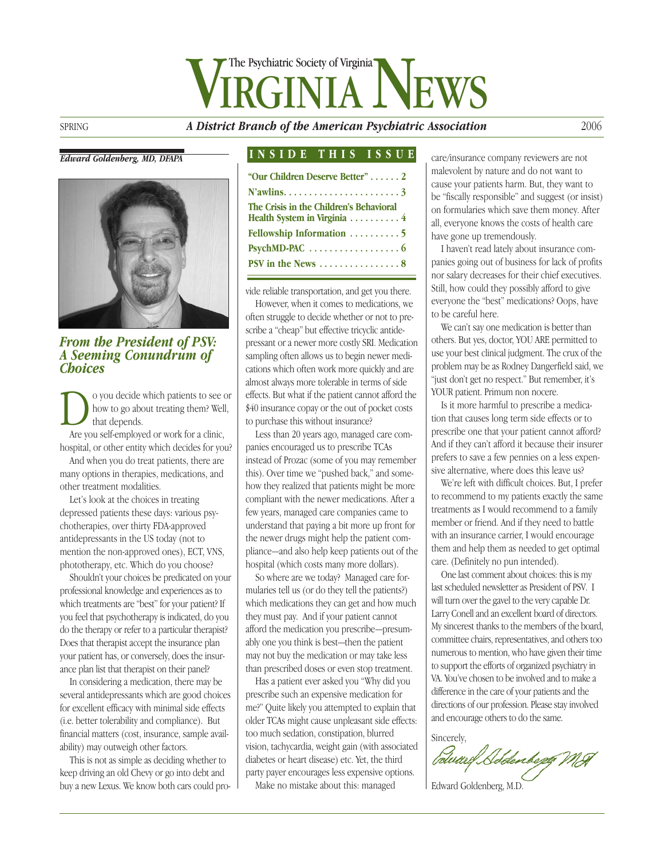# GINIA NEWS The Psychiatric Society of Virginia

SPRING *A District Branch of the American Psychiatric Association* 2006

*Edward Goldenberg, MD, DFAPA*



*From the President of PSV: A Seeming Conundrum of Choices*

**D** o you decide which patients to see or how to go about treating them? Well, that depends. Are you self-employed or work for a clinic, how to go about treating them? Well, that depends.

hospital, or other entity which decides for you?

And when you do treat patients, there are many options in therapies, medications, and other treatment modalities.

Let's look at the choices in treating depressed patients these days: various psychotherapies, over thirty FDA-approved antidepressants in the US today (not to mention the non-approved ones), ECT, VNS, phototherapy, etc. Which do you choose?

Shouldn't your choices be predicated on your professional knowledge and experiences as to which treatments are "best" for your patient? If you feel that psychotherapy is indicated, do you do the therapy or refer to a particular therapist? Does that therapist accept the insurance plan your patient has, or conversely, does the insurance plan list that therapist on their panel?

In considering a medication, there may be several antidepressants which are good choices for excellent efficacy with minimal side effects (i.e. better tolerability and compliance). But financial matters (cost, insurance, sample availability) may outweigh other factors.

This is not as simple as deciding whether to keep driving an old Chevy or go into debt and buy a new Lexus. We know both cars could pro-

#### **INSIDE THIS ISSUE**

| "Our Children Deserve Better"  2                                       |
|------------------------------------------------------------------------|
|                                                                        |
| The Crisis in the Children's Behavioral<br>Health System in Virginia 4 |
| Fellowship Information  5                                              |
|                                                                        |
| PSV in the News $\dots\dots\dots\dots\dots 8$                          |

vide reliable transportation, and get you there.

However, when it comes to medications, we often struggle to decide whether or not to prescribe a "cheap" but effective tricyclic antidepressant or a newer more costly SRI. Medication sampling often allows us to begin newer medications which often work more quickly and are almost always more tolerable in terms of side effects. But what if the patient cannot afford the \$40 insurance copay or the out of pocket costs to purchase this without insurance?

Less than 20 years ago, managed care companies encouraged us to prescribe TCAs instead of Prozac (some of you may remember this). Over time we "pushed back," and somehow they realized that patients might be more compliant with the newer medications. After a few years, managed care companies came to understand that paying a bit more up front for the newer drugs might help the patient compliance—and also help keep patients out of the hospital (which costs many more dollars).

So where are we today? Managed care formularies tell us (or do they tell the patients?) which medications they can get and how much they must pay. And if your patient cannot afford the medication you prescribe—presumably one you think is best—then the patient may not buy the medication or may take less than prescribed doses or even stop treatment.

Has a patient ever asked you "Why did you prescribe such an expensive medication for me?" Quite likely you attempted to explain that older TCAs might cause unpleasant side effects: too much sedation, constipation, blurred vision, tachycardia, weight gain (with associated diabetes or heart disease) etc. Yet, the third party payer encourages less expensive options.

Make no mistake about this: managed

care/insurance company reviewers are not malevolent by nature and do not want to cause your patients harm. But, they want to be "fiscally responsible" and suggest (or insist) on formularies which save them money. After all, everyone knows the costs of health care have gone up tremendously.

I haven't read lately about insurance companies going out of business for lack of profits nor salary decreases for their chief executives. Still, how could they possibly afford to give everyone the "best" medications? Oops, have to be careful here.

We can't say one medication is better than others. But yes, doctor, YOU ARE permitted to use your best clinical judgment. The crux of the problem may be as Rodney Dangerfield said, we "just don't get no respect." But remember, it's YOUR patient. Primum non nocere.

Is it more harmful to prescribe a medication that causes long term side effects or to prescribe one that your patient cannot afford? And if they can't afford it because their insurer prefers to save a few pennies on a less expensive alternative, where does this leave us?

We're left with difficult choices. But, I prefer to recommend to my patients exactly the same treatments as I would recommend to a family member or friend. And if they need to battle with an insurance carrier, I would encourage them and help them as needed to get optimal care. (Definitely no pun intended).

One last comment about choices: this is my last scheduled newsletter as President of PSV. I will turn over the gavel to the very capable Dr. Larry Conell and an excellent board of directors. My sincerest thanks to the members of the board, committee chairs, representatives, and others too numerous to mention, who have given their time to support the efforts of organized psychiatry in VA. You've chosen to be involved and to make a difference in the care of your patients and the directions of our profession. Please stay involved and encourage others to do the same.

Sincerely,

Colward Schlenbegg MA

Edward Goldenberg, M.D.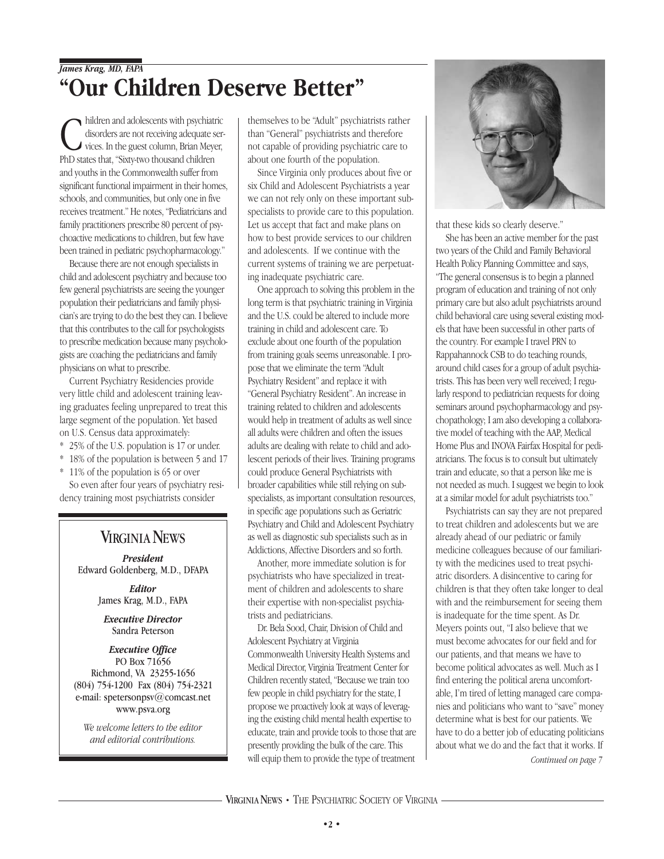## *James Krag, MD, FAPA* **"Our Children Deserve Better"**

hildren and adolescents with psychiat disorders are not receiving adequate s vices. In the guest column, Brian Mey PhD states that, "Sixty-two thousand children hildren and adolescents with psychiatric disorders are not receiving adequate services. In the guest column, Brian Meyer, and youths in the Commonwealth suffer from significant functional impairment in their homes, schools, and communities, but only one in five receives treatment." He notes, "Pediatricians and family practitioners prescribe 80 percent of psychoactive medications to children, but few have been trained in pediatric psychopharmacology."

Because there are not enough specialists in child and adolescent psychiatry and because too few general psychiatrists are seeing the younger population their pediatricians and family physician's are trying to do the best they can. I believe that this contributes to the call for psychologists to prescribe medication because many psychologists are coaching the pediatricians and family physicians on what to prescribe.

Current Psychiatry Residencies provide very little child and adolescent training leaving graduates feeling unprepared to treat this large segment of the population. Yet based on U.S. Census data approximately:

- \* 25% of the U.S. population is 17 or under.
- \* 18% of the population is between 5 and 17
- \* 11% of the population is 65 or over

So even after four years of psychiatry residency training most psychiatrists consider

## **VIRGINIA NEWS**

*President* Edward Goldenberg, M.D., DFAPA

> *Editor* James Krag, M.D., FAPA

*Executive Director* Sandra Peterson

#### *Executive Office* PO Box 71656 Richmond, VA 23255-1656 (804) 754-1200 Fax (804) 754-2321 e-mail: spetersonpsv@comcast.net www.psva.org

*We welcome letters to the editor and editorial contributions.*

themselves to be "Adult" psychiatrists rather than "General" psychiatrists and therefore not capable of providing psychiatric care to about one fourth of the population.

Since Virginia only produces about five or six Child and Adolescent Psychiatrists a year we can not rely only on these important subspecialists to provide care to this population. Let us accept that fact and make plans on how to best provide services to our children and adolescents. If we continue with the current systems of training we are perpetuating inadequate psychiatric care.

One approach to solving this problem in the long term is that psychiatric training in Virginia and the U.S. could be altered to include more training in child and adolescent care. To exclude about one fourth of the population from training goals seems unreasonable. I propose that we eliminate the term "Adult Psychiatry Resident" and replace it with "General Psychiatry Resident". An increase in training related to children and adolescents would help in treatment of adults as well since all adults were children and often the issues adults are dealing with relate to child and adolescent periods of their lives. Training programs could produce General Psychiatrists with broader capabilities while still relying on subspecialists, as important consultation resources, in specific age populations such as Geriatric Psychiatry and Child and Adolescent Psychiatry as well as diagnostic sub specialists such as in Addictions, Affective Disorders and so forth.

Another, more immediate solution is for psychiatrists who have specialized in treatment of children and adolescents to share their expertise with non-specialist psychiatrists and pediatricians.

Dr. Bela Sood, Chair, Division of Child and Adolescent Psychiatry at Virginia Commonwealth University Health Systems and Medical Director, Virginia Treatment Center for Children recently stated, "Because we train too few people in child psychiatry for the state, I propose we proactively look at ways of leveraging the existing child mental health expertise to educate, train and provide tools to those that are presently providing the bulk of the care. This will equip them to provide the type of treatment



that these kids so clearly deserve."

She has been an active member for the past two years of the Child and Family Behavioral Health Policy Planning Committee and says, "The general consensus is to begin a planned program of education and training of not only primary care but also adult psychiatrists around child behavioral care using several existing models that have been successful in other parts of the country. For example I travel PRN to Rappahannock CSB to do teaching rounds, around child cases for a group of adult psychiatrists. This has been very well received; I regularly respond to pediatrician requests for doing seminars around psychopharmacology and psychopathology; I am also developing a collaborative model of teaching with the AAP, Medical Home Plus and INOVA Fairfax Hospital for pediatricians. The focus is to consult but ultimately train and educate, so that a person like me is not needed as much. I suggest we begin to look at a similar model for adult psychiatrists too."

Psychiatrists can say they are not prepared to treat children and adolescents but we are already ahead of our pediatric or family medicine colleagues because of our familiarity with the medicines used to treat psychiatric disorders. A disincentive to caring for children is that they often take longer to deal with and the reimbursement for seeing them is inadequate for the time spent. As Dr. Meyers points out, "I also believe that we must become advocates for our field and for our patients, and that means we have to become political advocates as well. Much as I find entering the political arena uncomfortable, I'm tired of letting managed care companies and politicians who want to "save" money determine what is best for our patients. We have to do a better job of educating politicians about what we do and the fact that it works. If

*Continued on page 7*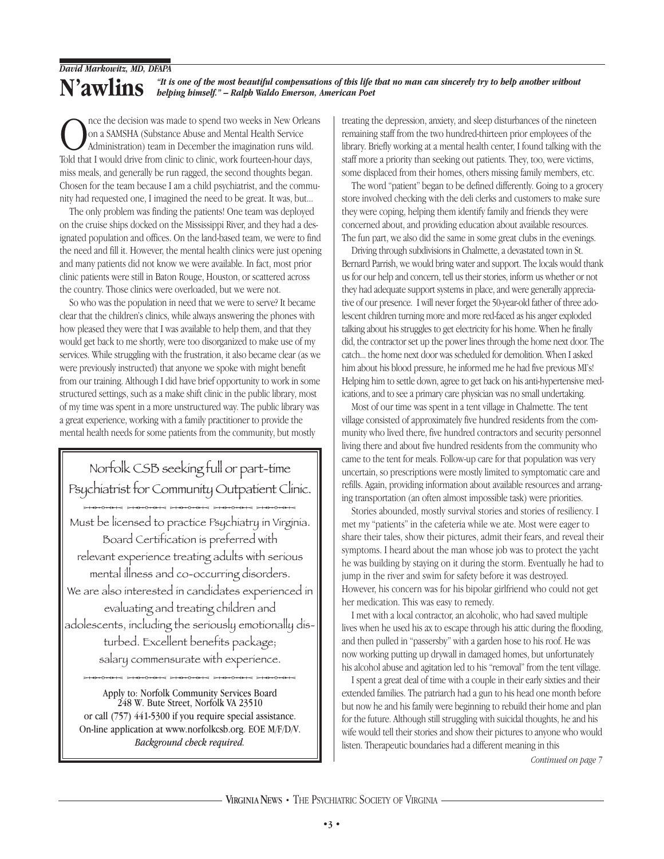#### **N'awlins** *"It is one of the most beautiful compensations of this life that no man can sincerely try to help another without helping himself." – Ralph Waldo Emerson, American Poet*

nce the decision was made to spend two weeks in New Orleans on a SAMSHA (Substance Abuse and Mental Health Service Administration) team in December the imagination runs wild. Told that I would drive from clinic to clinic, work fourteen-hour days, miss meals, and generally be run ragged, the second thoughts began. Chosen for the team because I am a child psychiatrist, and the community had requested one, I imagined the need to be great. It was, but...

The only problem was finding the patients! One team was deployed on the cruise ships docked on the Mississippi River, and they had a designated population and offices. On the land-based team, we were to find the need and fill it. However, the mental health clinics were just opening and many patients did not know we were available. In fact, most prior clinic patients were still in Baton Rouge, Houston, or scattered across the country. Those clinics were overloaded, but we were not.

So who was the population in need that we were to serve? It became clear that the children's clinics, while always answering the phones with how pleased they were that I was available to help them, and that they would get back to me shortly, were too disorganized to make use of my services. While struggling with the frustration, it also became clear (as we were previously instructed) that anyone we spoke with might benefit from our training. Although I did have brief opportunity to work in some structured settings, such as a make shift clinic in the public library, most of my time was spent in a more unstructured way. The public library was a great experience, working with a family practitioner to provide the mental health needs for some patients from the community, but mostly

Norfolk CSB seeking full or part-time Psychiatrist for Community Outpatient Clinic.<br>
Mush ha lisensed to protéin Psychiatry in Virginia. Must be licensed to practice Psychiatry in Virginia. Board Certification is preferred with relevant experience treating adults with serious mental illness and co-occurring disorders. We are also interested in candidates experienced in evaluating and treating children and adolescents, including the seriously emotionally disturbed. Excellent benefits package;

salary commensurate with experience.<br>Apply to: Norfolk Community Services Board  $248$  W. Bute Street, Norfolk VA 23510 or call (757) 441-5300 if you require special assistance. On-line application at www.norfolkcsb.org. EOE M/F/D/V. *Background check required.*

treating the depression, anxiety, and sleep disturbances of the nineteen remaining staff from the two hundred-thirteen prior employees of the library. Briefly working at a mental health center, I found talking with the staff more a priority than seeking out patients. They, too, were victims, some displaced from their homes, others missing family members, etc.

The word "patient" began to be defined differently. Going to a grocery store involved checking with the deli clerks and customers to make sure they were coping, helping them identify family and friends they were concerned about, and providing education about available resources. The fun part, we also did the same in some great clubs in the evenings.

Driving through subdivisions in Chalmette, a devastated town in St. Bernard Parrish, we would bring water and support. The locals would thank us for our help and concern, tell us their stories, inform us whether or not they had adequate support systems in place, and were generally appreciative of our presence. I will never forget the 50-year-old father of three adolescent children turning more and more red-faced as his anger exploded talking about his struggles to get electricity for his home. When he finally did, the contractor set up the power lines through the home next door. The catch... the home next door was scheduled for demolition. When I asked him about his blood pressure, he informed me he had five previous MI's! Helping him to settle down, agree to get back on his anti-hypertensive medications, and to see a primary care physician was no small undertaking.

Most of our time was spent in a tent village in Chalmette. The tent village consisted of approximately five hundred residents from the community who lived there, five hundred contractors and security personnel living there and about five hundred residents from the community who came to the tent for meals. Follow-up care for that population was very uncertain, so prescriptions were mostly limited to symptomatic care and refills. Again, providing information about available resources and arranging transportation (an often almost impossible task) were priorities.

Stories abounded, mostly survival stories and stories of resiliency. I met my "patients" in the cafeteria while we ate. Most were eager to share their tales, show their pictures, admit their fears, and reveal their symptoms. I heard about the man whose job was to protect the yacht he was building by staying on it during the storm. Eventually he had to jump in the river and swim for safety before it was destroyed. However, his concern was for his bipolar girlfriend who could not get her medication. This was easy to remedy.

I met with a local contractor, an alcoholic, who had saved multiple lives when he used his ax to escape through his attic during the flooding, and then pulled in "passersby" with a garden hose to his roof. He was now working putting up drywall in damaged homes, but unfortunately his alcohol abuse and agitation led to his "removal" from the tent village.

I spent a great deal of time with a couple in their early sixties and their extended families. The patriarch had a gun to his head one month before but now he and his family were beginning to rebuild their home and plan for the future. Although still struggling with suicidal thoughts, he and his wife would tell their stories and show their pictures to anyone who would listen. Therapeutic boundaries had a different meaning in this

*Continued on page 7*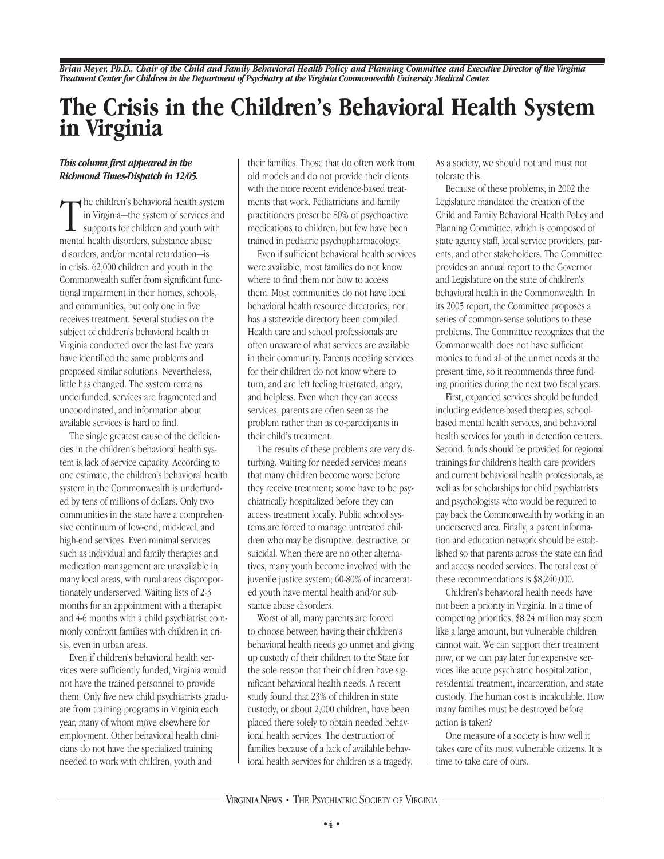*Brian Meyer, Ph.D., Chair of the Child and Family Behavioral Health Policy and Planning Committee and Executive Director of the Virginia Treatment Center for Children in the Department of Psychiatry at the Virginia Commonwealth University Medical Center.*

## **The Crisis in the Children's Behavioral Health System in Virginia**

#### *This column first appeared in the Richmond Times-Dispatch in 12/05.*

The children's behavioral health system of services is supports for children and youth winental health disorders, substance abuse he children's behavioral health system in Virginia—the system of services and supports for children and youth with disorders, and/or mental retardation—is in crisis. 62,000 children and youth in the Commonwealth suffer from significant functional impairment in their homes, schools, and communities, but only one in five receives treatment. Several studies on the subject of children's behavioral health in Virginia conducted over the last five years have identified the same problems and proposed similar solutions. Nevertheless, little has changed. The system remains underfunded, services are fragmented and uncoordinated, and information about available services is hard to find.

The single greatest cause of the deficiencies in the children's behavioral health system is lack of service capacity. According to one estimate, the children's behavioral health system in the Commonwealth is underfunded by tens of millions of dollars. Only two communities in the state have a comprehensive continuum of low-end, mid-level, and high-end services. Even minimal services such as individual and family therapies and medication management are unavailable in many local areas, with rural areas disproportionately underserved. Waiting lists of 2-3 months for an appointment with a therapist and 4-6 months with a child psychiatrist commonly confront families with children in crisis, even in urban areas.

Even if children's behavioral health services were sufficiently funded, Virginia would not have the trained personnel to provide them. Only five new child psychiatrists graduate from training programs in Virginia each year, many of whom move elsewhere for employment. Other behavioral health clinicians do not have the specialized training needed to work with children, youth and

their families. Those that do often work from old models and do not provide their clients with the more recent evidence-based treatments that work. Pediatricians and family practitioners prescribe 80% of psychoactive medications to children, but few have been trained in pediatric psychopharmacology.

Even if sufficient behavioral health services were available, most families do not know where to find them nor how to access them. Most communities do not have local behavioral health resource directories, nor has a statewide directory been compiled. Health care and school professionals are often unaware of what services are available in their community. Parents needing services for their children do not know where to turn, and are left feeling frustrated, angry, and helpless. Even when they can access services, parents are often seen as the problem rather than as co-participants in their child's treatment.

The results of these problems are very disturbing. Waiting for needed services means that many children become worse before they receive treatment; some have to be psychiatrically hospitalized before they can access treatment locally. Public school systems are forced to manage untreated children who may be disruptive, destructive, or suicidal. When there are no other alternatives, many youth become involved with the juvenile justice system; 60-80% of incarcerated youth have mental health and/or substance abuse disorders.

Worst of all, many parents are forced to choose between having their children's behavioral health needs go unmet and giving up custody of their children to the State for the sole reason that their children have significant behavioral health needs. A recent study found that 23% of children in state custody, or about 2,000 children, have been placed there solely to obtain needed behavioral health services. The destruction of families because of a lack of available behavioral health services for children is a tragedy.

As a society, we should not and must not tolerate this.

Because of these problems, in 2002 the Legislature mandated the creation of the Child and Family Behavioral Health Policy and Planning Committee, which is composed of state agency staff, local service providers, parents, and other stakeholders. The Committee provides an annual report to the Governor and Legislature on the state of children's behavioral health in the Commonwealth. In its 2005 report, the Committee proposes a series of common-sense solutions to these problems. The Committee recognizes that the Commonwealth does not have sufficient monies to fund all of the unmet needs at the present time, so it recommends three funding priorities during the next two fiscal years.

First, expanded services should be funded, including evidence-based therapies, schoolbased mental health services, and behavioral health services for youth in detention centers. Second, funds should be provided for regional trainings for children's health care providers and current behavioral health professionals, as well as for scholarships for child psychiatrists and psychologists who would be required to pay back the Commonwealth by working in an underserved area. Finally, a parent information and education network should be established so that parents across the state can find and access needed services. The total cost of these recommendations is \$8,240,000.

Children's behavioral health needs have not been a priority in Virginia. In a time of competing priorities, \$8.24 million may seem like a large amount, but vulnerable children cannot wait. We can support their treatment now, or we can pay later for expensive services like acute psychiatric hospitalization, residential treatment, incarceration, and state custody. The human cost is incalculable. How many families must be destroyed before action is taken?

One measure of a society is how well it takes care of its most vulnerable citizens. It is time to take care of ours.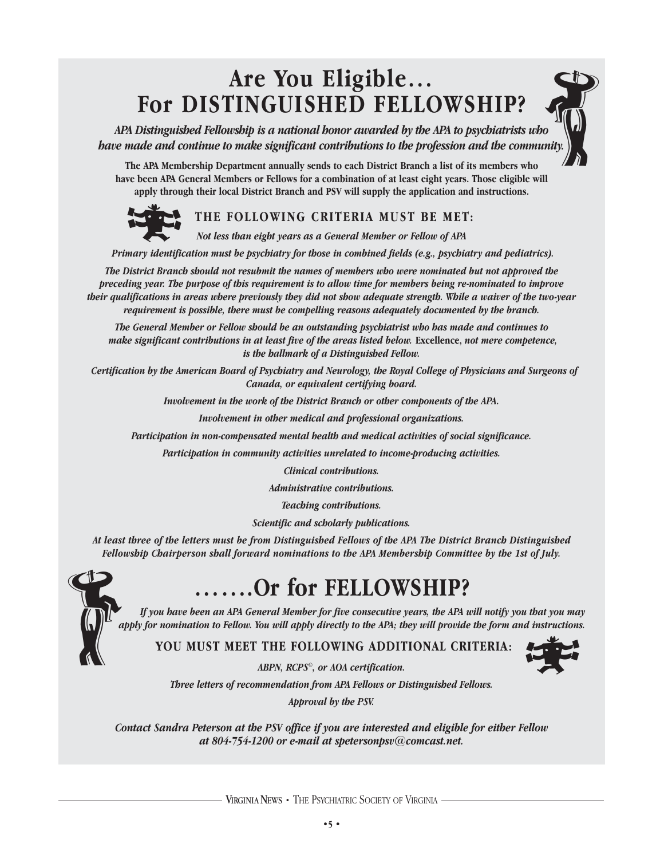## **Are You Eligible… For DISTINGUISHED FELLOWSHIP?**

*APA Distinguished Fellowship is a national honor awarded by the APA to psychiatrists who have made and continue to make significant contributions to the profession and the community.*   $\left(\begin{matrix} 1 \\ 0 \\ 0 \end{matrix}\right)$ 

**The APA Membership Department annually sends to each District Branch a list of its members who have been APA General Members or Fellows for a combination of at least eight years. Those eligible will apply through their local District Branch and PSV will supply the application and instructions.** 



## **THE FOLLOWING CRITERIA MUST BE MET:**

*Not less than eight years as a General Member or Fellow of APA* 

*Primary identification must be psychiatry for those in combined fields (e.g., psychiatry and pediatrics).* 

*The District Branch should not resubmit the names of members who were nominated but not approved the preceding year. The purpose of this requirement is to allow time for members being re-nominated to improve their qualifications in areas where previously they did not show adequate strength. While a waiver of the two-year requirement is possible, there must be compelling reasons adequately documented by the branch.* 

*The General Member or Fellow should be an outstanding psychiatrist who has made and continues to make significant contributions in at least five of the areas listed below. Excellence, not mere competence, is the hallmark of a Distinguished Fellow.* 

*Certification by the American Board of Psychiatry and Neurology, the Royal College of Physicians and Surgeons of Canada, or equivalent certifying board.* 

*Involvement in the work of the District Branch or other components of the APA.* 

*Involvement in other medical and professional organizations.* 

*Participation in non-compensated mental health and medical activities of social significance.* 

*Participation in community activities unrelated to income-producing activities.*

*Clinical contributions.* 

*Administrative contributions.* 

*Teaching contributions.* 

*Scientific and scholarly publications.* 

*At least three of the letters must be from Distinguished Fellows of the APA The District Branch Distinguished Fellowship Chairperson shall forward nominations to the APA Membership Committee by the 1st of July.* Fellon

# **…….Or for FELLOWSHIP?**

*If you have been an APA General Member for five consecutive years, the APA will notify you that you may apply for nomination to Fellow. You will apply directly to the APA; they will provide the form and instructions.* 

**YOU MUST MEET THE FOLLOWING ADDITIONAL CRITERIA:**



*ABPN, RCPS©, or AOA certification.*

*Three letters of recommendation from APA Fellows or Distinguished Fellows.* 

*Approval by the PSV.* 

*Contact Sandra Peterson at the PSV office if you are interested and eligible for either Fellow at 804-754-1200 or e-mail at spetersonpsv@comcast.net.*

VIRGINIANEWS **•** THE PSYCHIATRIC SOCIETY OF VIRGINIA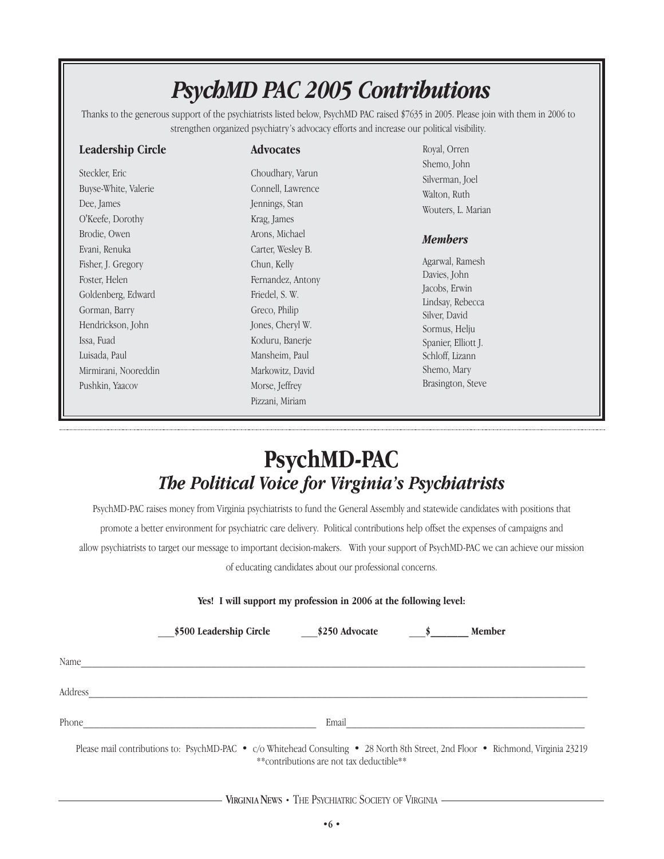# *PsychMD PAC 2005 Contributions*

Thanks to the generous support of the psychiatrists listed below, PsychMD PAC raised \$7635 in 2005. Please join with them in 2006 to strengthen organized psychiatry's advocacy efforts and increase our political visibility.

| <b>Leadership Circle</b> | <b>Advocates</b>  | Rc               |
|--------------------------|-------------------|------------------|
|                          |                   | Sh               |
| Steckler, Eric           | Choudhary, Varun  | Sil              |
| Buyse-White, Valerie     | Connell, Lawrence | W                |
| Dee, James               | Jennings, Stan    | W                |
| O'Keefe, Dorothy         | Krag, James       |                  |
| Brodie, Owen             | Arons, Michael    | $\boldsymbol{M}$ |
| Evani, Renuka            | Carter, Wesley B. |                  |
| Fisher, J. Gregory       | Chun, Kelly       | Ag               |
| Foster, Helen            | Fernandez, Antony | D <sub>c</sub>   |
| Goldenberg, Edward       | Friedel, S. W.    | Jac              |
| Gorman, Barry            | Greco, Philip     | Lin<br>Sil       |
| Hendrickson, John        | Jones, Cheryl W.  | So               |
| Issa, Fuad               | Koduru, Banerje   | Sp               |
| Luisada, Paul            | Mansheim, Paul    | Sc               |
| Mirmirani, Nooreddin     | Markowitz, David  | Sh               |
| Pushkin, Yaacov          | Morse, Jeffrey    | Br               |
|                          | Pizzani, Miriam   |                  |
|                          |                   |                  |

yal, Orren emo, John lverman, Joel alton, Ruth outers, L. Marian

#### *<u>Iembers</u>*

garwal, Ramesh avies, John cobs, Erwin ndsay, Rebecca lver, David ormus, Helju Spanier, Elliott J. hloff, Lizann emo, Mary asington, Steve

## **PsychMD-PAC** *The Political Voice for Virginia's Psychiatrists*

PsychMD-PAC raises money from Virginia psychiatrists to fund the General Assembly and statewide candidates with positions that promote a better environment for psychiatric care delivery. Political contributions help offset the expenses of campaigns and allow psychiatrists to target our message to important decision-makers. With your support of PsychMD-PAC we can achieve our mission of educating candidates about our professional concerns.

#### **Yes! I will support my profession in 2006 at the following level:**

|         | \$500 Leadership Circle                                                                                                          | \$250 Advocate | <b>Member</b> |  |
|---------|----------------------------------------------------------------------------------------------------------------------------------|----------------|---------------|--|
| Name    |                                                                                                                                  |                |               |  |
| Address |                                                                                                                                  |                |               |  |
| Phone   |                                                                                                                                  | Email          |               |  |
|         | Please mail contributions to: PsychMD-PAC • c/o Whitehead Consulting • 28 North 8th Street, 2nd Floor • Richmond, Virginia 23219 |                |               |  |

\*\*contributions are not tax deductible\*\*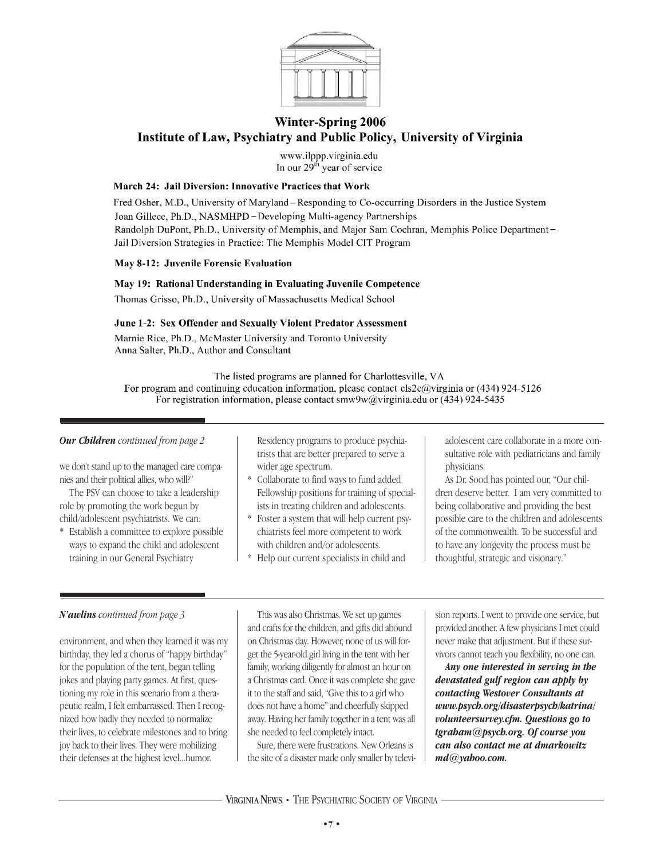

#### **Winter-Spring 2006** Institute of Law, Psychiatry and Public Policy, University of Virginia

www.ilppp.virginia.edu In our  $29<sup>th</sup>$  year of service

#### March 24: Jail Diversion: Innovative Practices that Work

Fred Osher, M.D., University of Maryland - Responding to Co-occurring Disorders in the Justice System Joan Gillece, Ph.D., NASMHPD-Developing Multi-agency Partnerships Randolph DuPont, Ph.D., University of Memphis, and Major Sam Cochran, Memphis Police Department-Jail Diversion Strategies in Practice: The Memphis Model CIT Program

#### May 8-12: Juvenile Forensic Evaluation

#### May 19: Rational Understanding in Evaluating Juvenile Competence

Thomas Grisso, Ph.D., University of Massachusetts Medical School

#### June 1-2: Sex Offender and Sexually Violent Predator Assessment

Marnie Rice, Ph.D., McMaster University and Toronto University Anna Salter, Ph.D., Author and Consultant

The listed programs are planned for Charlottesville, VA

For program and continuing education information, please contact els2e@virginia or (434) 924-5126 For registration information, please contact smw9w@virginia.edu or (434) 924-5435

#### *Our Children continued from page 2*

we don't stand up to the managed care companies and their political allies, who will?"

The PSV can choose to take a leadership role by promoting the work begun by child/adolescent psychiatrists. We can:

\* Establish a committee to explore possible ways to expand the child and adolescent training in our General Psychiatry

Residency programs to produce psychiatrists that are better prepared to serve a wider age spectrum.

- Collaborate to find ways to fund added Fellowship positions for training of specialists in treating children and adolescents.
- Foster a system that will help current psychiatrists feel more competent to work with children and/or adolescents.
- Help our current specialists in child and

adolescent care collaborate in a more consultative role with pediatricians and family physicians.

As Dr. Sood has pointed our, "Our children deserve better. I am very committed to being collaborative and providing the best possible care to the children and adolescents of the commonwealth. To be successful and to have any longevity the process must be thoughtful, strategic and visionary."

#### *N'awlins continued from page 3*

environment, and when they learned it was my birthday, they led a chorus of "happy birthday" for the population of the tent, began telling jokes and playing party games. At first, questioning my role in this scenario from a therapeutic realm, I felt embarrassed. Then I recognized how badly they needed to normalize their lives, to celebrate milestones and to bring joy back to their lives. They were mobilizing their defenses at the highest level...humor.

This was also Christmas. We set up games and crafts for the children, and gifts did abound on Christmas day. However, none of us will forget the 5-year-old girl living in the tent with her family, working diligently for almost an hour on a Christmas card. Once it was complete she gave it to the staff and said, "Give this to a girl who does not have a home" and cheerfully skipped away. Having her family together in a tent was all she needed to feel completely intact.

Sure, there were frustrations. New Orleans is the site of a disaster made only smaller by televi-

sion reports. I went to provide one service, but provided another. A few physicians I met could never make that adjustment. But if these survivors cannot teach you flexibility, no one can.

*Any one interested in serving in the devastated gulf region can apply by contacting Westover Consultants at www.psych.org/disasterpsych/katrina/ volunteersurvey.cfm. Questions go to tgraham@psych.org. Of course you can also contact me at dmarkowitz md@yahoo.com.*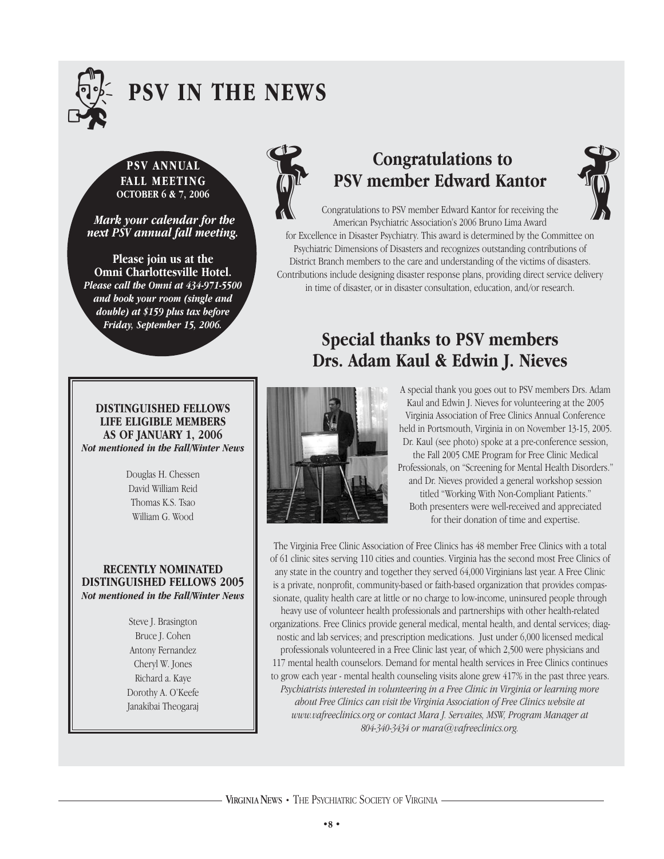

# . **PSV IN THE NEWS**

**FALL MEETING OCTOBER 6 & 7, 2006**

*Mark your calendar for the next PSV annual fall meeting.* 

**Please join us at the Omni Charlottesville Hotel.** *Please call the Omni at 434-971-5500 and book your room (single and double) at \$159 plus tax before Friday, September 15, 2006.*



# **Congratulations to PSV member Edward Kantor PSV ANNUAL CONGRATE CONGRATE CONSUMISTION CONGRATE CONGRATE CONGRATE CONGRATE CONGRATE CONGRATE CONGRATE CONGRATE CONGRATE CONGRATE CONGRATE CONGRATE CONGRATE CONGRATE CONGRATE CONGRATE CONGRATE CONGRATE CONGRATE CONGRATE**



Congratulations to PSV member Edward Kantor for receiving the American Psychiatric Association's 2006 Bruno Lima Award for Excellence in Disaster Psychiatry. This award is determined by the Committee on Psychiatric Dimensions of Disasters and recognizes outstanding contributions of District Branch members to the care and understanding of the victims of disasters. Contributions include designing disaster response plans, providing direct service delivery in time of disaster, or in disaster consultation, education, and/or research.

> **Special thanks to PSV members Drs. Adam Kaul & Edwin J. Nieves**

#### **DISTINGUISHED FELLOWS LIFE ELIGIBLE MEMBERS AS OF JANUARY 1, 2006** *Not mentioned in the Fall/Winter News*

Douglas H. Chessen David William Reid Thomas K.S. Tsao William G. Wood

#### **RECENTLY NOMINATED DISTINGUISHED FELLOWS 2005** *Not mentioned in the Fall/Winter News*

Steve J. Brasington Bruce J. Cohen Antony Fernandez Cheryl W. Jones Richard a. Kaye Dorothy A. O'Keefe Janakibai Theogaraj



A special thank you goes out to PSV members Drs. Adam Kaul and Edwin J. Nieves for volunteering at the 2005 Virginia Association of Free Clinics Annual Conference held in Portsmouth, Virginia in on November 13-15, 2005. Dr. Kaul (see photo) spoke at a pre-conference session, the Fall 2005 CME Program for Free Clinic Medical Professionals, on "Screening for Mental Health Disorders." and Dr. Nieves provided a general workshop session titled "Working With Non-Compliant Patients." Both presenters were well-received and appreciated for their donation of time and expertise.

The Virginia Free Clinic Association of Free Clinics has 48 member Free Clinics with a total of 61 clinic sites serving 110 cities and counties. Virginia has the second most Free Clinics of any state in the country and together they served 64,000 Virginians last year. A Free Clinic is a private, nonprofit, community-based or faith-based organization that provides compassionate, quality health care at little or no charge to low-income, uninsured people through heavy use of volunteer health professionals and partnerships with other health-related organizations. Free Clinics provide general medical, mental health, and dental services; diagnostic and lab services; and prescription medications. Just under 6,000 licensed medical professionals volunteered in a Free Clinic last year, of which 2,500 were physicians and 117 mental health counselors. Demand for mental health services in Free Clinics continues to grow each year - mental health counseling visits alone grew 417% in the past three years. *Psychiatrists interested in volunteering in a Free Clinic in Virginia or learning more about Free Clinics can visit the Virginia Association of Free Clinics website at www.vafreeclinics.org or contact Mara J. Servaites, MSW, Program Manager at 804-340-3434 or mara@vafreeclinics.org.*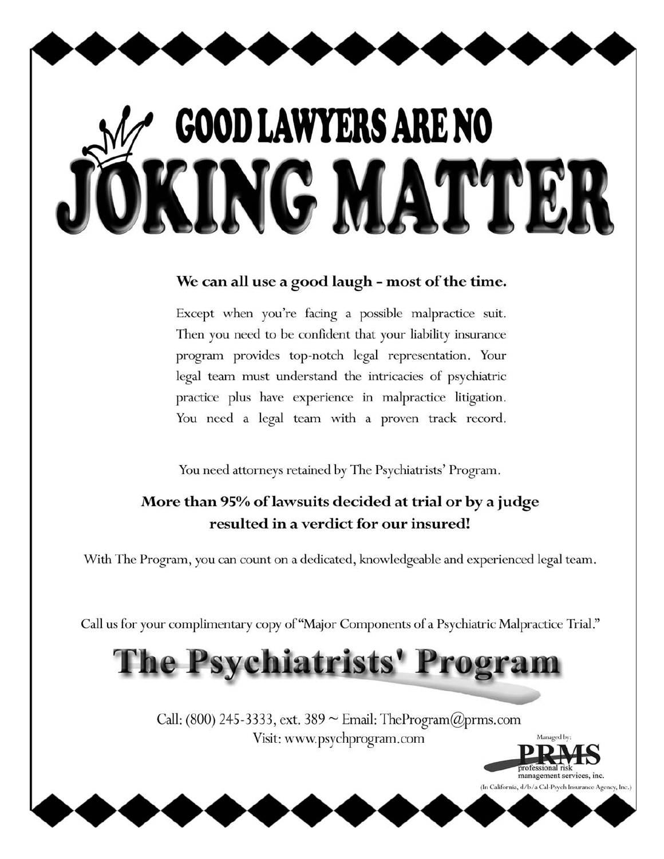# **GOOD LAWYERS ARE NO** ING MATTE

## We can all use a good laugh - most of the time.

Except when you're facing a possible malpractice suit. Then you need to be confident that your liability insurance program provides top-notch legal representation. Your legal team must understand the intricacies of psychiatric practice plus have experience in malpractice litigation. You need a legal team with a proven track record.

You need attorneys retained by The Psychiatrists' Program.

## More than 95% of lawsuits decided at trial or by a judge resulted in a verdict for our insured!

With The Program, you can count on a dedicated, knowledgeable and experienced legal team.

Call us for your complimentary copy of "Major Components of a Psychiatric Malpractice Trial."

# The Psychiatrists' Progra

Call: (800) 245-3333, ext. 389 ~ Email: TheProgram $(\partial \rho$ prms.com Visit: www.psychprogram.com

> management services, inc (In California, d/b/a Cal-Psych Insurance Agency, Inc.)

Managed by